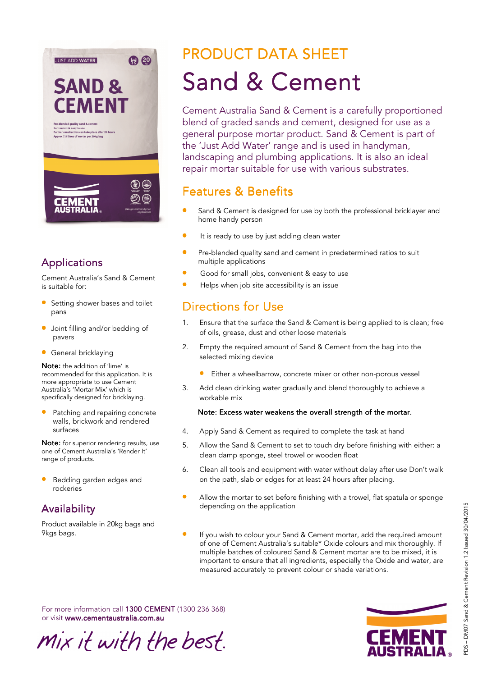

#### Applications

Cement Australia's Sand & Cement is suitable for:

- Setting shower bases and toilet pans
- Joint filling and/or bedding of pavers
- General bricklaying

Note: the addition of 'lime' is recommended for this application. It is more appropriate to use Cement Australia's 'Mortar Mix' which is specifically designed for bricklaying.

Patching and repairing concrete walls, brickwork and rendered surfaces

Note: for superior rendering results, use one of Cement Australia's 'Render It' range of products.

• Bedding garden edges and rockeries

#### **Availability**

Product available in 20kg bags and 9kgs bags.

# **PRODUCT DATA SHEET** Sand & Cement

Cement Australia Sand & Cement is a carefully proportioned blend of graded sands and cement, designed for use as a general purpose mortar product. Sand & Cement is part of the 'Just Add Water' range and is used in handyman, landscaping and plumbing applications. It is also an ideal repair mortar suitable for use with various substrates.

## **Features & Benefits**

- Sand & Cement is designed for use by both the professional bricklayer and home handy person
- It is ready to use by just adding clean water
- Pre-blended quality sand and cement in predetermined ratios to suit multiple applications
- Good for small jobs, convenient & easy to use
- Helps when job site accessibility is an issue

## Directions for Use

- 1. Ensure that the surface the Sand & Cement is being applied to is clean; free of oils, grease, dust and other loose materials
- 2. Empty the required amount of Sand & Cement from the bag into the selected mixing device
	- Either a wheelbarrow, concrete mixer or other non-porous vessel
- 3. Add clean drinking water gradually and blend thoroughly to achieve a workable mix

#### Note: Excess water weakens the overall strength of the mortar.

- 4. Apply Sand & Cement as required to complete the task at hand
- 5. Allow the Sand & Cement to set to touch dry before finishing with either: a clean damp sponge, steel trowel or wooden float
- 6. Clean all tools and equipment with water without delay after use Don't walk on the path, slab or edges for at least 24 hours after placing.
- Allow the mortar to set before finishing with a trowel, flat spatula or sponge depending on the application
- If you wish to colour your Sand & Cement mortar, add the required amount of one of Cement Australia's suitable\* Oxide colours and mix thoroughly. If multiple batches of coloured Sand & Cement mortar are to be mixed, it is important to ensure that all ingredients, especially the Oxide and water, are measured accurately to prevent colour or shade variations.

For more information call 1300 CEMENT (1300 236 368) or visit www.cementaustralia.com.au

Mix it with the best.